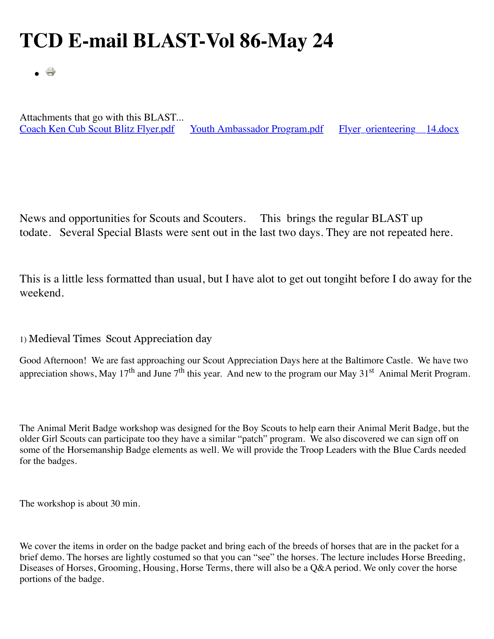# **TCD E-mail BLAST-Vol 86-May 24**

. 8

Attachments that go with this BLAST...<br>Coach Ken Cub Scout Blitz Flyer.pdf [Youth Ambassador Program.pdf](http://www.thecapitoldistrict.org/images/The%20BLAST/May_2014/Youth%20Ambassador%20Program.pdf) Flyer\_orienteering 14.docx

News and opportunities for Scouts and Scouters. This brings the regular BLAST up todate. Several Special Blasts were sent out in the last two days. They are not repeated here.

This is a little less formatted than usual, but I have alot to get out tongiht before I do away for the weekend.

## 1) Medieval Times Scout Appreciation day

Good Afternoon! We are fast approaching our Scout Appreciation Days here at the Baltimore Castle. We have two appreciation shows, May 17<sup>th</sup> and June 7<sup>th</sup> this year. And new to the program our May 31<sup>st</sup> Animal Merit Program.

The Animal Merit Badge workshop was designed for the Boy Scouts to help earn their Animal Merit Badge, but the older Girl Scouts can participate too they have a similar "patch" program. We also discovered we can sign off on some of the Horsemanship Badge elements as well. We will provide the Troop Leaders with the Blue Cards needed for the badges.

The workshop is about 30 min.

We cover the items in order on the badge packet and bring each of the breeds of horses that are in the packet for a brief demo. The horses are lightly costumed so that you can "see" the horses. The lecture includes Horse Breeding, Diseases of Horses, Grooming, Housing, Horse Terms, there will also be a Q&A period. We only cover the horse portions of the badge.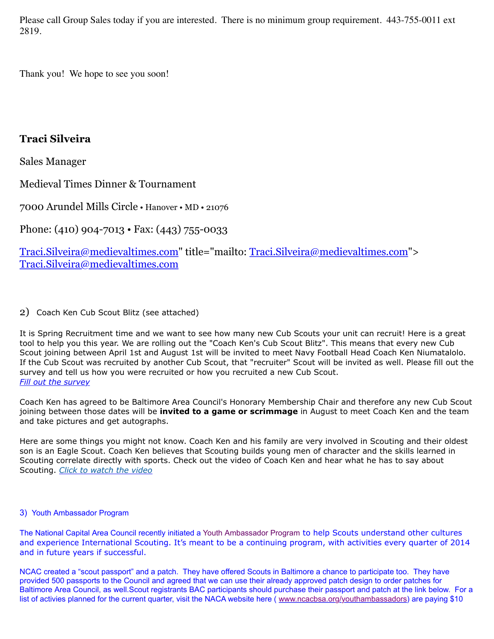Please call Group Sales today if you are interested. There is no minimum group requirement. 443-755-0011 ext 2819.

Thank you! We hope to see you soon!

## **Traci Silveira**

Sales Manager

Medieval Times Dinner & Tournament

7000 Arundel Mills Circle • Hanover • MD • 21076

Phone: (410) 904-7013 • Fax: (443) 755-0033

[Traci.Silveira@medievaltimes.com"](mailto:Traci.Silveira@medievaltimes.com) title="mailto: [Traci.Silveira@medievaltimes.com"](mailto:Traci.Silveira@medievaltimes.com)> [Traci.Silveira@medievaltimes.com](mailto:Traci.Silveira@medievaltimes.com)

## 2) Coach Ken Cub Scout Blitz (see attached)

It is Spring Recruitment time and we want to see how many new Cub Scouts your unit can recruit! Here is a great tool to help you this year. We are rolling out the "Coach Ken's Cub Scout Blitz". This means that every new Cub Scout joining between April 1st and August 1st will be invited to meet Navy Football Head Coach Ken Niumatalolo. If the Cub Scout was recruited by another Cub Scout, that "recruiter" Scout will be invited as well. Please fill out the survey and tell us how you were recruited or how you recruited a new Cub Scout. *[Fill out the survey](http://www.baltimorebsa.org/survey/2014-new-cub-scout-invitation-survey/39572)*

Coach Ken has agreed to be Baltimore Area Council's Honorary Membership Chair and therefore any new Cub Scout joining between those dates will be **invited to a game or scrimmage** in August to meet Coach Ken and the team and take pictures and get autographs.

Here are some things you might not know. Coach Ken and his family are very involved in Scouting and their oldest son is an Eagle Scout. Coach Ken believes that Scouting builds young men of character and the skills learned in Scouting correlate directly with sports. Check out the video of Coach Ken and hear what he has to say about Scouting. *[Click to watch the video](http://youtu.be/lubM1pA1xFw)*

## 3) Youth Ambassador Program

The National Capital Area Council recently initiated a Youth Ambassador Program to help Scouts understand other cultures and experience International Scouting. It's meant to be a continuing program, with activities every quarter of 2014 and in future years if successful.

NCAC created a "scout passport" and a patch. They have offered Scouts in Baltimore a chance to participate too. They have provided 500 passports to the Council and agreed that we can use their already approved patch design to order patches for Baltimore Area Council, as well.Scout registrants BAC participants should purchase their passport and patch at the link below. For a list of activies planned for the current quarter, visit the NACA website here (*www.ncacbsa.org/youthambassadors*) are paying \$10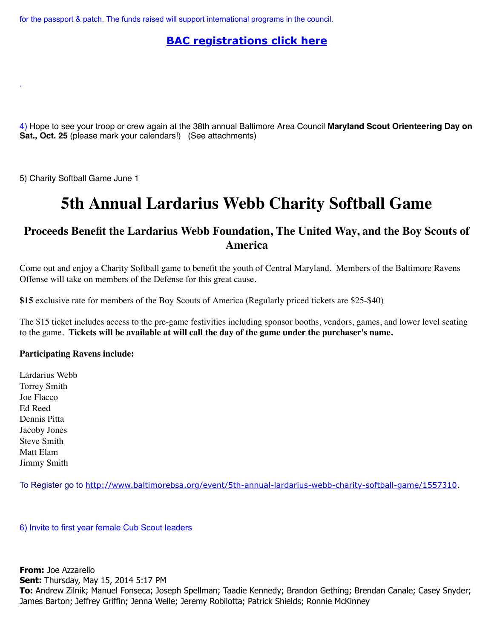for the passport & patch. The funds raised will support international programs in the council.

## **[BAC registrations click here](http://www.baltimorebsa.org/event/youth-ambassador-program/1547073)**

4) Hope to see your troop or crew again at the 38th annual Baltimore Area Council **Maryland Scout Orienteering Day on Sat., Oct. 25** (please mark your calendars!) (See attachments)

5) Charity Softball Game June 1

.

## **5th Annual Lardarius Webb Charity Softball Game**

## **Proceeds Benefit the Lardarius Webb Foundation, The United Way, and the Boy Scouts of America**

Come out and enjoy a Charity Softball game to benefit the youth of Central Maryland. Members of the Baltimore Ravens Offense will take on members of the Defense for this great cause.

**\$15** exclusive rate for members of the Boy Scouts of America (Regularly priced tickets are \$25-\$40)

The \$15 ticket includes access to the pre-game festivities including sponsor booths, vendors, games, and lower level seating to the game. **Tickets will be available at will call the day of the game under the purchaser's name.**

## **Participating Ravens include:**

Lardarius Webb Torrey Smith Joe Flacco Ed Reed Dennis Pitta Jacoby Jones Steve Smith Matt Elam Jimmy Smith

To Register go to <http://www.baltimorebsa.org/event/5th-annual-lardarius-webb-charity-softball-game/1557310>.

6) Invite to first year female Cub Scout leaders

**From:** Joe Azzarello **Sent:** Thursday, May 15, 2014 5:17 PM **To:** Andrew Zilnik; Manuel Fonseca; Joseph Spellman; Taadie Kennedy; Brandon Gething; Brendan Canale; Casey Snyder; James Barton; Jeffrey Griffin; Jenna Welle; Jeremy Robilotta; Patrick Shields; Ronnie McKinney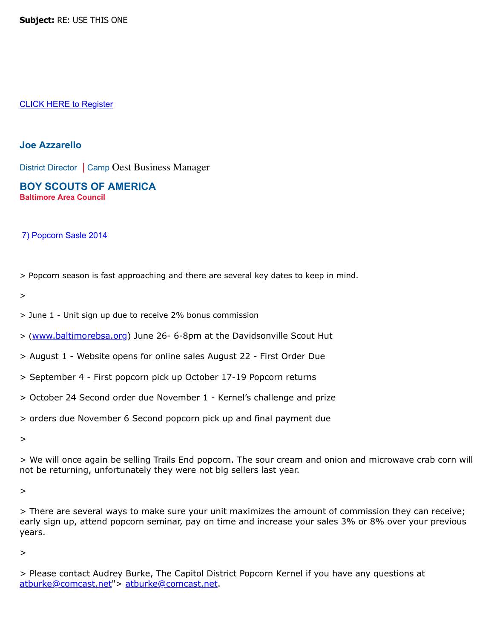**Subject:** RE: USE THIS ONE

#### [CLICK HERE to Register](http://www.baltimorebsa.org/event/first-year-focus-the-power-of-scoutings-female-voice/1557356)

#### **Joe Azzarello**

District Director | Camp Oest Business Manager

**BOY SCOUTS OF AMERICA Baltimore Area Council**

## 7) Popcorn Sasle 2014

> Popcorn season is fast approaching and there are several key dates to keep in mind.

>

> June 1 - Unit sign up due to receive 2% bonus commission

> ([www.baltimorebsa.org\)](outbind://14/www.baltimorebsa.org) June 26- 6-8pm at the Davidsonville Scout Hut

> August 1 - Website opens for online sales August 22 - First Order Due

- > September 4 First popcorn pick up October 17-19 Popcorn returns
- > October 24 Second order due November 1 Kernel's challenge and prize
- > orders due November 6 Second popcorn pick up and final payment due

>

> We will once again be selling Trails End popcorn. The sour cream and onion and microwave crab corn will not be returning, unfortunately they were not big sellers last year.

#### >

> There are several ways to make sure your unit maximizes the amount of commission they can receive; early sign up, attend popcorn seminar, pay on time and increase your sales 3% or 8% over your previous years.

>

<sup>&</sup>gt; Please contact Audrey Burke, The Capitol District Popcorn Kernel if you have any questions at [atburke@comcast.net"](mailto:atburke@comcast.net)> [atburke@comcast.net.](mailto:atburke@comcast.net)